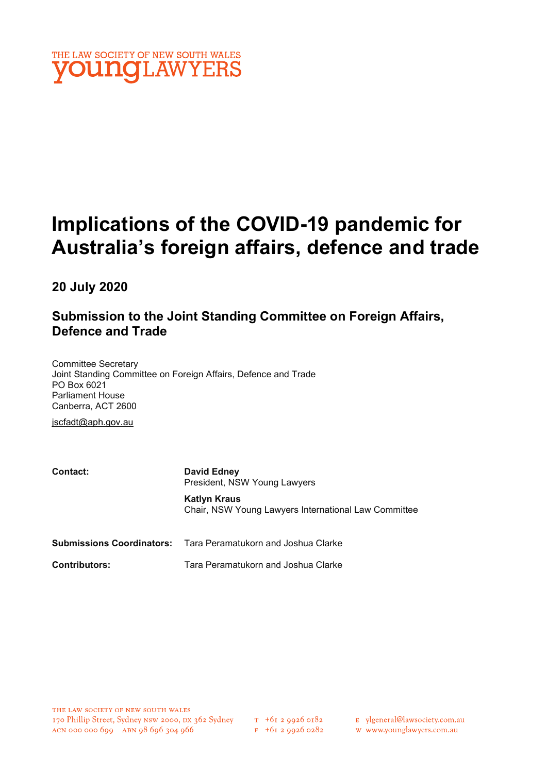

# Implications of the COVID-19 pandemic for Australia's foreign affairs, defence and trade

20 July 2020

# Submission to the Joint Standing Committee on Foreign Affairs, Defence and Trade

Committee Secretary Joint Standing Committee on Foreign Affairs, Defence and Trade PO Box 6021 Parliament House Canberra, ACT 2600

jscfadt@aph.gov.au

| Contact:             | <b>David Edney</b><br>President, NSW Young Lawyers                          |
|----------------------|-----------------------------------------------------------------------------|
|                      | <b>Katlyn Kraus</b><br>Chair, NSW Young Lawyers International Law Committee |
|                      | <b>Submissions Coordinators:</b> Tara Peramatukorn and Joshua Clarke        |
| <b>Contributors:</b> | Tara Peramatukorn and Joshua Clarke                                         |

E ylgeneral@lawsociety.com.au

w www.younglawyers.com.au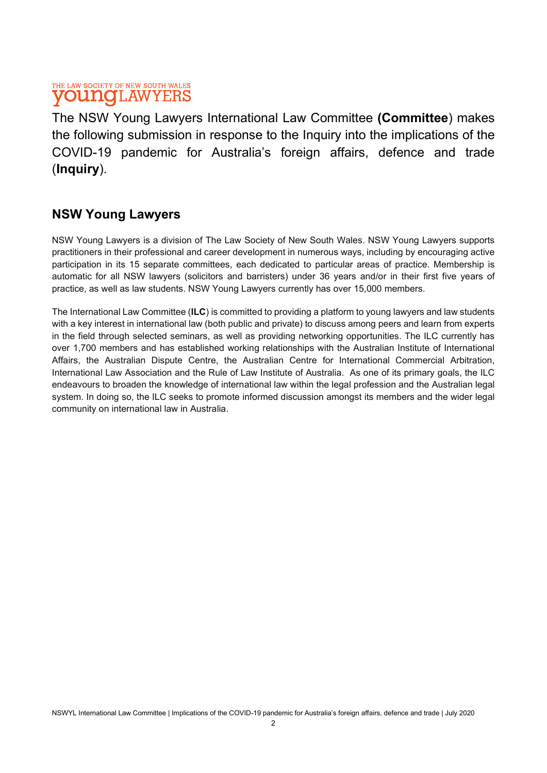The NSW Young Lawyers International Law Committee (Committee) makes the following submission in response to the Inquiry into the implications of the COVID-19 pandemic for Australia's foreign affairs, defence and trade (Inquiry).

# NSW Young Lawyers

NSW Young Lawyers is a division of The Law Society of New South Wales. NSW Young Lawyers supports practitioners in their professional and career development in numerous ways, including by encouraging active participation in its 15 separate committees, each dedicated to particular areas of practice. Membership is automatic for all NSW lawyers (solicitors and barristers) under 36 years and/or in their first five years of practice, as well as law students. NSW Young Lawyers currently has over 15,000 members.

The International Law Committee (ILC) is committed to providing a platform to young lawyers and law students with a key interest in international law (both public and private) to discuss among peers and learn from experts in the field through selected seminars, as well as providing networking opportunities. The ILC currently has over 1,700 members and has established working relationships with the Australian Institute of International Affairs, the Australian Dispute Centre, the Australian Centre for International Commercial Arbitration, International Law Association and the Rule of Law Institute of Australia. As one of its primary goals, the ILC endeavours to broaden the knowledge of international law within the legal profession and the Australian legal system. In doing so, the ILC seeks to promote informed discussion amongst its members and the wider legal community on international law in Australia.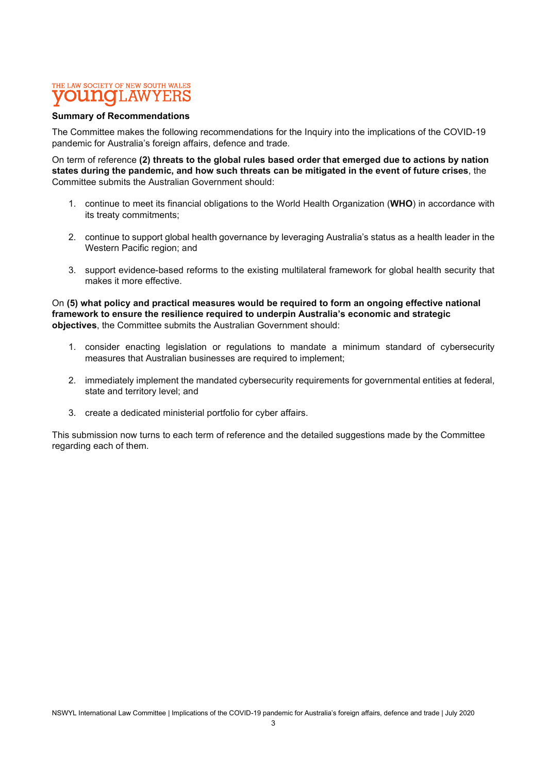#### Summary of Recommendations

The Committee makes the following recommendations for the Inquiry into the implications of the COVID-19 pandemic for Australia's foreign affairs, defence and trade.

On term of reference (2) threats to the global rules based order that emerged due to actions by nation states during the pandemic, and how such threats can be mitigated in the event of future crises, the Committee submits the Australian Government should:

- 1. continue to meet its financial obligations to the World Health Organization (WHO) in accordance with its treaty commitments;
- 2. continue to support global health governance by leveraging Australia's status as a health leader in the Western Pacific region; and
- 3. support evidence-based reforms to the existing multilateral framework for global health security that makes it more effective.

On (5) what policy and practical measures would be required to form an ongoing effective national framework to ensure the resilience required to underpin Australia's economic and strategic objectives, the Committee submits the Australian Government should:

- 1. consider enacting legislation or regulations to mandate a minimum standard of cybersecurity measures that Australian businesses are required to implement:
- 2. immediately implement the mandated cybersecurity requirements for governmental entities at federal, state and territory level; and
- 3. create a dedicated ministerial portfolio for cyber affairs.

This submission now turns to each term of reference and the detailed suggestions made by the Committee regarding each of them.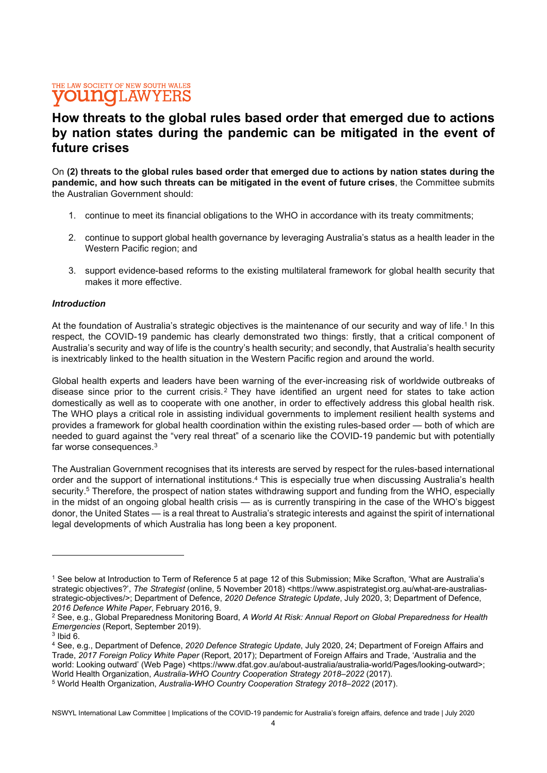# How threats to the global rules based order that emerged due to actions by nation states during the pandemic can be mitigated in the event of future crises

On (2) threats to the global rules based order that emerged due to actions by nation states during the pandemic, and how such threats can be mitigated in the event of future crises, the Committee submits the Australian Government should:

- 1. continue to meet its financial obligations to the WHO in accordance with its treaty commitments;
- 2. continue to support global health governance by leveraging Australia's status as a health leader in the Western Pacific region; and
- 3. support evidence-based reforms to the existing multilateral framework for global health security that makes it more effective.

### Introduction

At the foundation of Australia's strategic objectives is the maintenance of our security and way of life.<sup>1</sup> In this respect, the COVID-19 pandemic has clearly demonstrated two things: firstly, that a critical component of Australia's security and way of life is the country's health security; and secondly, that Australia's health security is inextricably linked to the health situation in the Western Pacific region and around the world.

Global health experts and leaders have been warning of the ever-increasing risk of worldwide outbreaks of disease since prior to the current crisis.<sup>2</sup> They have identified an urgent need for states to take action domestically as well as to cooperate with one another, in order to effectively address this global health risk. The WHO plays a critical role in assisting individual governments to implement resilient health systems and provides a framework for global health coordination within the existing rules-based order — both of which are needed to guard against the "very real threat" of a scenario like the COVID-19 pandemic but with potentially far worse consequences.<sup>3</sup>

The Australian Government recognises that its interests are served by respect for the rules-based international order and the support of international institutions.<sup>4</sup> This is especially true when discussing Australia's health security.<sup>5</sup> Therefore, the prospect of nation states withdrawing support and funding from the WHO, especially in the midst of an ongoing global health crisis — as is currently transpiring in the case of the WHO's biggest donor, the United States — is a real threat to Australia's strategic interests and against the spirit of international legal developments of which Australia has long been a key proponent.

<sup>1</sup> See below at Introduction to Term of Reference 5 at page 12 of this Submission; Mike Scrafton, 'What are Australia's strategic objectives?', The Strategist (online, 5 November 2018) <https://www.aspistrategist.org.au/what-are-australiasstrategic-objectives/>; Department of Defence, 2020 Defence Strategic Update, July 2020, 3; Department of Defence, 2016 Defence White Paper, February 2016, 9.

 $^2$  See, e.g., Global Preparedness Monitoring Board, *A World At Risk: Annual Report on Global Preparedness for Health* Emergencies (Report, September 2019).

 $3$  Ibid 6.

<sup>&</sup>lt;sup>4</sup> See, e.g., Department of Defence, 2020 Defence Strategic Update, July 2020, 24; Department of Foreign Affairs and Trade, 2017 Foreign Policy White Paper (Report, 2017); Department of Foreign Affairs and Trade, 'Australia and the world: Looking outward' (Web Page) <https://www.dfat.gov.au/about-australia/australia-world/Pages/looking-outward>; World Health Organization, Australia-WHO Country Cooperation Strategy 2018–2022 (2017).

<sup>&</sup>lt;sup>5</sup> World Health Organization, Australia-WHO Country Cooperation Strategy 2018–2022 (2017).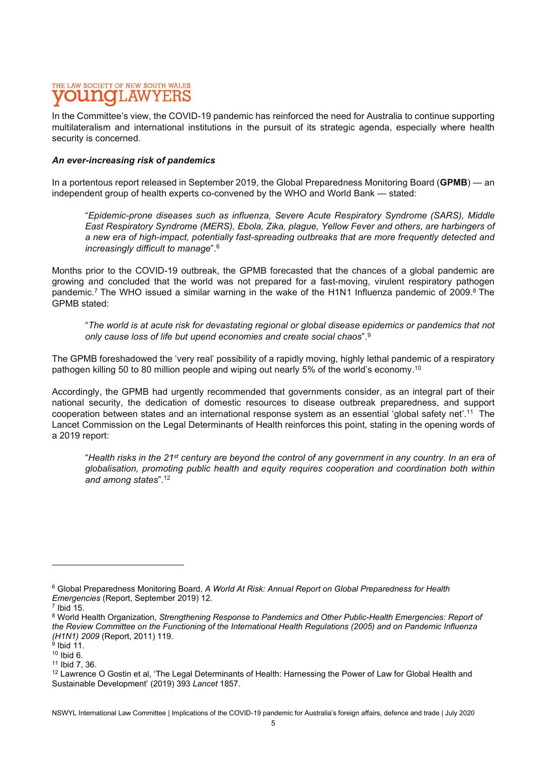In the Committee's view, the COVID-19 pandemic has reinforced the need for Australia to continue supporting multilateralism and international institutions in the pursuit of its strategic agenda, especially where health security is concerned.

### An ever-increasing risk of pandemics

In a portentous report released in September 2019, the Global Preparedness Monitoring Board (GPMB) — an independent group of health experts co-convened by the WHO and World Bank — stated:

"Epidemic-prone diseases such as influenza, Severe Acute Respiratory Syndrome (SARS), Middle East Respiratory Syndrome (MERS), Ebola, Zika, plague, Yellow Fever and others, are harbingers of a new era of high-impact, potentially fast-spreading outbreaks that are more frequently detected and increasingly difficult to manage".<sup>6</sup>

Months prior to the COVID-19 outbreak, the GPMB forecasted that the chances of a global pandemic are growing and concluded that the world was not prepared for a fast-moving, virulent respiratory pathogen pandemic.<sup>7</sup> The WHO issued a similar warning in the wake of the H1N1 Influenza pandemic of 2009.<sup>8</sup> The GPMB stated:

"The world is at acute risk for devastating regional or global disease epidemics or pandemics that not only cause loss of life but upend economies and create social chaos".<sup>9</sup>

The GPMB foreshadowed the 'very real' possibility of a rapidly moving, highly lethal pandemic of a respiratory pathogen killing 50 to 80 million people and wiping out nearly 5% of the world's economy.<sup>10</sup>

Accordingly, the GPMB had urgently recommended that governments consider, as an integral part of their national security, the dedication of domestic resources to disease outbreak preparedness, and support cooperation between states and an international response system as an essential 'global safety net'.<sup>11</sup> The Lancet Commission on the Legal Determinants of Health reinforces this point, stating in the opening words of a 2019 report:

"Health risks in the 21<sup>st</sup> century are beyond the control of any government in any country. In an era of globalisation, promoting public health and equity requires cooperation and coordination both within and among states".<sup>12</sup>

 $^6$  Global Preparedness Monitoring Board, *A World At Risk: Annual Report on Global Preparedness for Health* Emergencies (Report, September 2019) 12.

 $<sup>7</sup>$  Ibid 15.</sup>

<sup>&</sup>lt;sup>8</sup> World Health Organization, Strengthening Response to Pandemics and Other Public-Health Emergencies: Report of the Review Committee on the Functioning of the International Health Regulations (2005) and on Pandemic Influenza *(H1N1) 2009* (Report, 2011) 119.<br><sup>9</sup> Ibid 11.

 $10$  Ibid 6.

<sup>11</sup> Ibid 7, 36.

<sup>&</sup>lt;sup>12</sup> Lawrence O Gostin et al, 'The Legal Determinants of Health: Harnessing the Power of Law for Global Health and Sustainable Development' (2019) 393 Lancet 1857.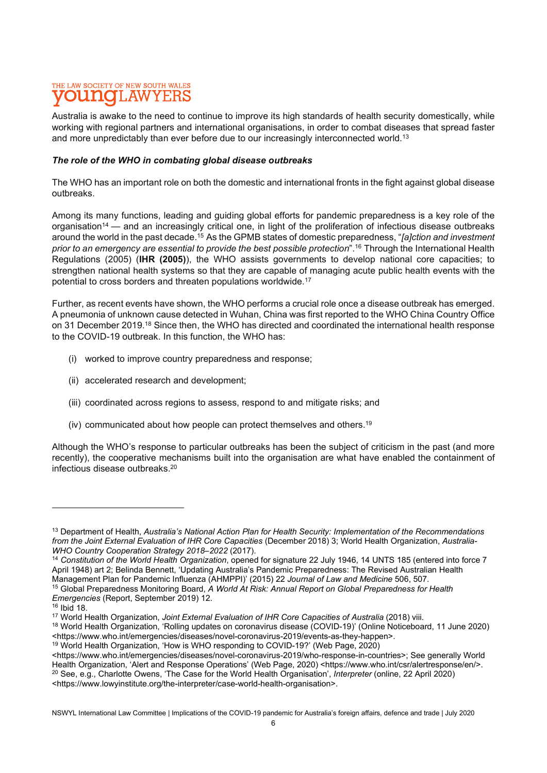Australia is awake to the need to continue to improve its high standards of health security domestically, while working with regional partners and international organisations, in order to combat diseases that spread faster and more unpredictably than ever before due to our increasingly interconnected world.<sup>13</sup>

### The role of the WHO in combating global disease outbreaks

The WHO has an important role on both the domestic and international fronts in the fight against global disease outbreaks.

Among its many functions, leading and guiding global efforts for pandemic preparedness is a key role of the organisation<sup>14</sup> — and an increasingly critical one, in light of the proliferation of infectious disease outbreaks around the world in the past decade.<sup>15</sup> As the GPMB states of domestic preparedness, "*falction and investment* prior to an emergency are essential to provide the best possible protection".<sup>16</sup> Through the International Health Regulations (2005) (IHR (2005)), the WHO assists governments to develop national core capacities; to strengthen national health systems so that they are capable of managing acute public health events with the potential to cross borders and threaten populations worldwide.<sup>17</sup>

Further, as recent events have shown, the WHO performs a crucial role once a disease outbreak has emerged. A pneumonia of unknown cause detected in Wuhan, China was first reported to the WHO China Country Office on 31 December 2019.<sup>18</sup> Since then, the WHO has directed and coordinated the international health response to the COVID-19 outbreak. In this function, the WHO has:

- (i) worked to improve country preparedness and response;
- (ii) accelerated research and development;
- (iii) coordinated across regions to assess, respond to and mitigate risks; and
- (iv) communicated about how people can protect themselves and others.<sup>19</sup>

Although the WHO's response to particular outbreaks has been the subject of criticism in the past (and more recently), the cooperative mechanisms built into the organisation are what have enabled the containment of infectious disease outbreaks.<sup>20</sup>

<sup>&</sup>lt;sup>13</sup> Department of Health, Australia's National Action Plan for Health Security: Implementation of the Recommendations from the Joint External Evaluation of IHR Core Capacities (December 2018) 3; World Health Organization, Australia-WHO Country Cooperation Strategy 2018–2022 (2017).

<sup>&</sup>lt;sup>14</sup> Constitution of the World Health Organization, opened for signature 22 July 1946, 14 UNTS 185 (entered into force 7 April 1948) art 2; Belinda Bennett, 'Updating Australia's Pandemic Preparedness: The Revised Australian Health Management Plan for Pandemic Influenza (AHMPPI)' (2015) 22 Journal of Law and Medicine 506, 507.

<sup>&</sup>lt;sup>15</sup> Global Preparedness Monitoring Board, A World At Risk: Annual Report on Global Preparedness for Health Emergencies (Report, September 2019) 12.

<sup>16</sup> Ibid 18.

<sup>&</sup>lt;sup>17</sup> World Health Organization, Joint External Evaluation of IHR Core Capacities of Australia (2018) viii.

<sup>18</sup> World Health Organization, 'Rolling updates on coronavirus disease (COVID-19)' (Online Noticeboard, 11 June 2020) <https://www.who.int/emergencies/diseases/novel-coronavirus-2019/events-as-they-happen>.

<sup>19</sup> World Health Organization, 'How is WHO responding to COVID-19?' (Web Page, 2020)

<sup>&</sup>lt;https://www.who.int/emergencies/diseases/novel-coronavirus-2019/who-response-in-countries>; See generally World Health Organization, 'Alert and Response Operations' (Web Page, 2020) <https://www.who.int/csr/alertresponse/en/>.

<sup>20</sup> See, e.g., Charlotte Owens, 'The Case for the World Health Organisation', Interpreter (online, 22 April 2020) <https://www.lowyinstitute.org/the-interpreter/case-world-health-organisation>.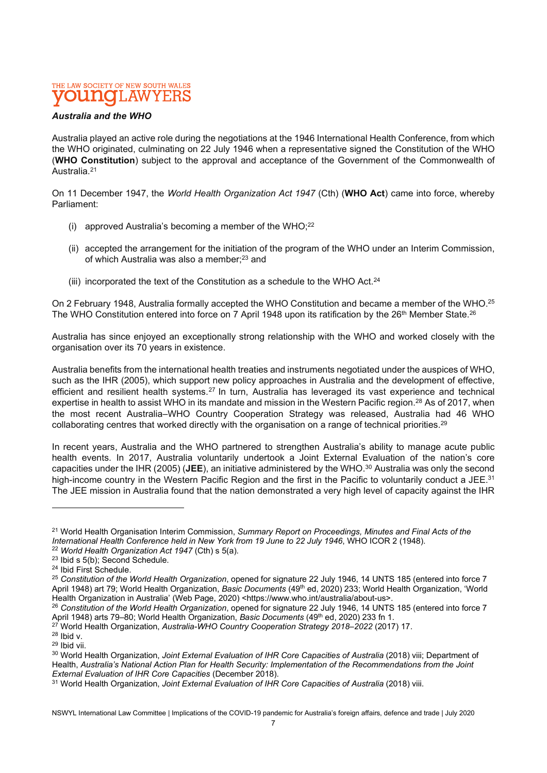### Australia and the WHO

Australia played an active role during the negotiations at the 1946 International Health Conference, from which the WHO originated, culminating on 22 July 1946 when a representative signed the Constitution of the WHO (WHO Constitution) subject to the approval and acceptance of the Government of the Commonwealth of Australia.<sup>21</sup>

On 11 December 1947, the World Health Organization Act 1947 (Cth) (WHO Act) came into force, whereby Parliament:

- (i) approved Australia's becoming a member of the WHO; $^{22}$
- (ii) accepted the arrangement for the initiation of the program of the WHO under an Interim Commission, of which Australia was also a member;<sup>23</sup> and
- (iii) incorporated the text of the Constitution as a schedule to the WHO Act.<sup>24</sup>

On 2 February 1948, Australia formally accepted the WHO Constitution and became a member of the WHO.<sup>25</sup> The WHO Constitution entered into force on 7 April 1948 upon its ratification by the 26<sup>th</sup> Member State.<sup>26</sup>

Australia has since enjoyed an exceptionally strong relationship with the WHO and worked closely with the organisation over its 70 years in existence.

Australia benefits from the international health treaties and instruments negotiated under the auspices of WHO, such as the IHR (2005), which support new policy approaches in Australia and the development of effective, efficient and resilient health systems.<sup>27</sup> In turn, Australia has leveraged its vast experience and technical expertise in health to assist WHO in its mandate and mission in the Western Pacific region.<sup>28</sup> As of 2017, when the most recent Australia–WHO Country Cooperation Strategy was released, Australia had 46 WHO collaborating centres that worked directly with the organisation on a range of technical priorities.<sup>29</sup>

In recent years, Australia and the WHO partnered to strengthen Australia's ability to manage acute public health events. In 2017, Australia voluntarily undertook a Joint External Evaluation of the nation's core capacities under the IHR (2005) (JEE), an initiative administered by the WHO.<sup>30</sup> Australia was only the second high-income country in the Western Pacific Region and the first in the Pacific to voluntarily conduct a JEE.<sup>31</sup> The JEE mission in Australia found that the nation demonstrated a very high level of capacity against the IHR

<sup>&</sup>lt;sup>21</sup> World Health Organisation Interim Commission, Summary Report on Proceedings, Minutes and Final Acts of the International Health Conference held in New York from 19 June to 22 July 1946, WHO ICOR 2 (1948).  $22$  World Health Organization Act 1947 (Cth) s 5(a).

<sup>23</sup> Ibid s 5(b); Second Schedule.

<sup>24</sup> Ibid First Schedule.

<sup>&</sup>lt;sup>25</sup> Constitution of the World Health Organization, opened for signature 22 July 1946, 14 UNTS 185 (entered into force 7 April 1948) art 79; World Health Organization, Basic Documents (49<sup>th</sup> ed, 2020) 233; World Health Organization, 'World Health Organization in Australia' (Web Page, 2020) <https://www.who.int/australia/about-us>.

<sup>&</sup>lt;sup>26</sup> Constitution of the World Health Organization, opened for signature 22 July 1946, 14 UNTS 185 (entered into force 7 April 1948) arts 79–80; World Health Organization, Basic Documents (49<sup>th</sup> ed, 2020) 233 fn 1.

<sup>&</sup>lt;sup>27</sup> World Health Organization, Australia-WHO Country Cooperation Strategy 2018–2022 (2017) 17.

<sup>28</sup> Ibid v.

<sup>29</sup> Ibid vii.

<sup>&</sup>lt;sup>30</sup> World Health Organization, Joint External Evaluation of IHR Core Capacities of Australia (2018) viii; Department of Health, Australia's National Action Plan for Health Security: Implementation of the Recommendations from the Joint External Evaluation of IHR Core Capacities (December 2018).

<sup>&</sup>lt;sup>31</sup> World Health Organization, Joint External Evaluation of IHR Core Capacities of Australia (2018) viii.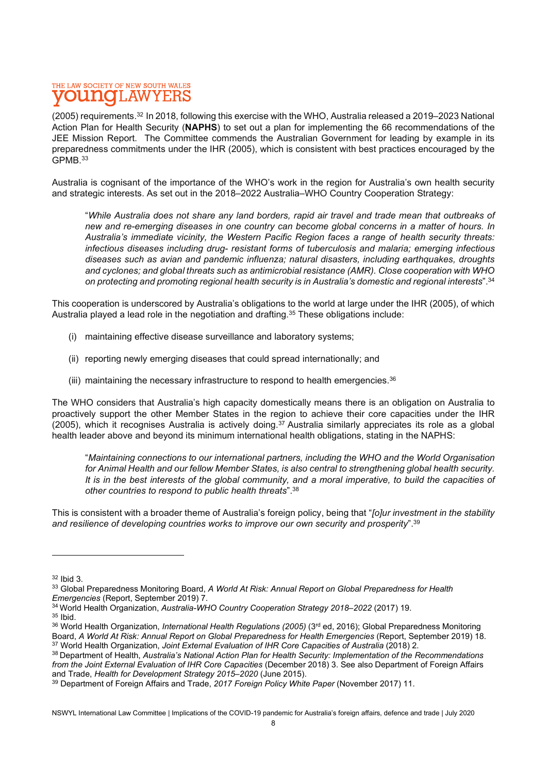(2005) requirements.<sup>32</sup> In 2018, following this exercise with the WHO, Australia released a 2019–2023 National Action Plan for Health Security (NAPHS) to set out a plan for implementing the 66 recommendations of the JEE Mission Report. The Committee commends the Australian Government for leading by example in its preparedness commitments under the IHR (2005), which is consistent with best practices encouraged by the GPMB.<sup>33</sup>

Australia is cognisant of the importance of the WHO's work in the region for Australia's own health security and strategic interests. As set out in the 2018–2022 Australia–WHO Country Cooperation Strategy:

"While Australia does not share any land borders, rapid air travel and trade mean that outbreaks of new and re-emerging diseases in one country can become global concerns in a matter of hours. In Australia's immediate vicinity, the Western Pacific Region faces a range of health security threats: infectious diseases including drug- resistant forms of tuberculosis and malaria; emerging infectious diseases such as avian and pandemic influenza; natural disasters, including earthquakes, droughts and cyclones; and global threats such as antimicrobial resistance (AMR). Close cooperation with WHO on protecting and promoting regional health security is in Australia's domestic and regional interests".<sup>34</sup>

This cooperation is underscored by Australia's obligations to the world at large under the IHR (2005), of which Australia played a lead role in the negotiation and drafting.<sup>35</sup> These obligations include:

- (i) maintaining effective disease surveillance and laboratory systems;
- (ii) reporting newly emerging diseases that could spread internationally; and
- (iii) maintaining the necessary infrastructure to respond to health emergencies. $36$

The WHO considers that Australia's high capacity domestically means there is an obligation on Australia to proactively support the other Member States in the region to achieve their core capacities under the IHR  $(2005)$ , which it recognises Australia is actively doing.<sup>37</sup> Australia similarly appreciates its role as a global health leader above and beyond its minimum international health obligations, stating in the NAPHS:

"Maintaining connections to our international partners, including the WHO and the World Organisation for Animal Health and our fellow Member States, is also central to strengthening global health security. It is in the best interests of the global community, and a moral imperative, to build the capacities of other countries to respond to public health threats".<sup>38</sup>

This is consistent with a broader theme of Australia's foreign policy, being that "[o]ur investment in the stability and resilience of developing countries works to improve our own security and prosperity".<sup>39</sup>

<sup>35</sup> Ibid.

<sup>32</sup> Ibid 3.

<sup>33</sup> Global Preparedness Monitoring Board, A World At Risk: Annual Report on Global Preparedness for Health Emergencies (Report, September 2019) 7.

<sup>&</sup>lt;sup>34</sup> World Health Organization, Australia-WHO Country Cooperation Strategy 2018-2022 (2017) 19.

<sup>36</sup> World Health Organization, *International Health Regulations (2005)* (3<sup>rd</sup> ed, 2016); Global Preparedness Monitoring Board, A World At Risk: Annual Report on Global Preparedness for Health Emergencies (Report, September 2019) 18. <sup>37</sup> World Health Organization, Joint External Evaluation of IHR Core Capacities of Australia (2018) 2.

<sup>38</sup> Department of Health, Australia's National Action Plan for Health Security: Implementation of the Recommendations from the Joint External Evaluation of IHR Core Capacities (December 2018) 3. See also Department of Foreign Affairs and Trade, Health for Development Strategy 2015–2020 (June 2015).

<sup>&</sup>lt;sup>39</sup> Department of Foreign Affairs and Trade, 2017 Foreign Policy White Paper (November 2017) 11.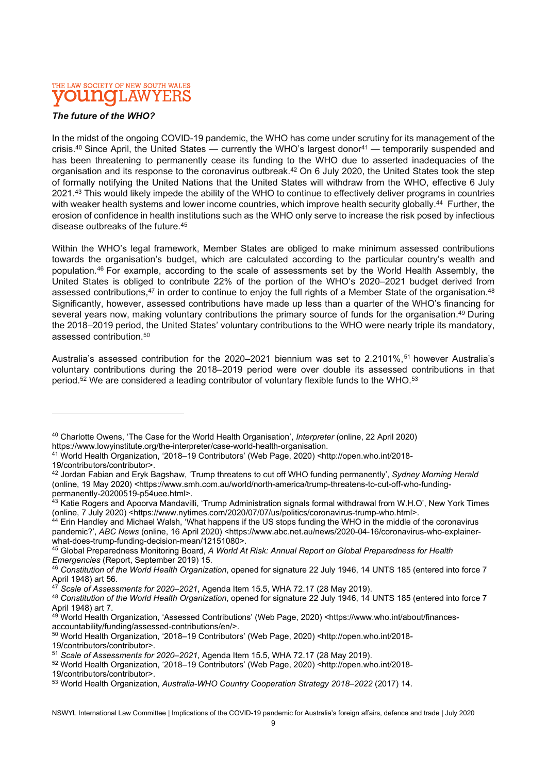### The future of the WHO?

In the midst of the ongoing COVID-19 pandemic, the WHO has come under scrutiny for its management of the crisis.<sup>40</sup> Since April, the United States — currently the WHO's largest donor<sup>41</sup> — temporarily suspended and has been threatening to permanently cease its funding to the WHO due to asserted inadequacies of the organisation and its response to the coronavirus outbreak.<sup>42</sup> On 6 July 2020, the United States took the step of formally notifying the United Nations that the United States will withdraw from the WHO, effective 6 July 2021.<sup>43</sup> This would likely impede the ability of the WHO to continue to effectively deliver programs in countries with weaker health systems and lower income countries, which improve health security globally.<sup>44</sup> Further, the erosion of confidence in health institutions such as the WHO only serve to increase the risk posed by infectious disease outbreaks of the future.<sup>45</sup>

Within the WHO's legal framework, Member States are obliged to make minimum assessed contributions towards the organisation's budget, which are calculated according to the particular country's wealth and population.<sup>46</sup> For example, according to the scale of assessments set by the World Health Assembly, the United States is obliged to contribute 22% of the portion of the WHO's 2020–2021 budget derived from assessed contributions,<sup>47</sup> in order to continue to enjoy the full rights of a Member State of the organisation.<sup>48</sup> Significantly, however, assessed contributions have made up less than a quarter of the WHO's financing for several years now, making voluntary contributions the primary source of funds for the organisation.<sup>49</sup> During the 2018–2019 period, the United States' voluntary contributions to the WHO were nearly triple its mandatory, assessed contribution.<sup>50</sup>

Australia's assessed contribution for the 2020-2021 biennium was set to 2.2101%,<sup>51</sup> however Australia's voluntary contributions during the 2018–2019 period were over double its assessed contributions in that period.<sup>52</sup> We are considered a leading contributor of voluntary flexible funds to the WHO.<sup>53</sup>

<sup>41</sup> World Health Organization, '2018–19 Contributors' (Web Page, 2020) <http://open.who.int/2018-

44 Erin Handley and Michael Walsh, 'What happens if the US stops funding the WHO in the middle of the coronavirus pandemic?', ABC News (online, 16 April 2020) <https://www.abc.net.au/news/2020-04-16/coronavirus-who-explainerwhat-does-trump-funding-decision-mean/12151080>.

<sup>40</sup> Charlotte Owens, 'The Case for the World Health Organisation', Interpreter (online, 22 April 2020) https://www.lowyinstitute.org/the-interpreter/case-world-health-organisation.

<sup>19/</sup>contributors/contributor>.

<sup>&</sup>lt;sup>42</sup> Jordan Fabian and Eryk Bagshaw, 'Trump threatens to cut off WHO funding permanently', Sydney Morning Herald (online, 19 May 2020) <https://www.smh.com.au/world/north-america/trump-threatens-to-cut-off-who-fundingpermanently-20200519-p54uee.html>.

 $^{43}$  Katie Rogers and Apoorva Mandavilli, 'Trump Administration signals formal withdrawal from W.H.O', New York Times (online, 7 July 2020) <https://www.nytimes.com/2020/07/07/us/politics/coronavirus-trump-who.html>.

<sup>45</sup> Global Preparedness Monitoring Board, A World At Risk: Annual Report on Global Preparedness for Health Emergencies (Report, September 2019) 15.

<sup>46</sup> Constitution of the World Health Organization, opened for signature 22 July 1946, 14 UNTS 185 (entered into force 7 April 1948) art 56.

 $47$  Scale of Assessments for 2020–2021, Agenda Item 15.5, WHA 72.17 (28 May 2019).

<sup>48</sup> Constitution of the World Health Organization, opened for signature 22 July 1946, 14 UNTS 185 (entered into force 7 April 1948) art 7.

<sup>49</sup> World Health Organization, 'Assessed Contributions' (Web Page, 2020) <https://www.who.int/about/financesaccountability/funding/assessed-contributions/en/>.

<sup>50</sup> World Health Organization, '2018–19 Contributors' (Web Page, 2020) <http://open.who.int/2018-

<sup>19/</sup>contributors/contributor>.

<sup>51</sup> Scale of Assessments for 2020–2021, Agenda Item 15.5, WHA 72.17 (28 May 2019).

<sup>52</sup> World Health Organization, '2018–19 Contributors' (Web Page, 2020) <http://open.who.int/2018-

<sup>19/</sup>contributors/contributor>.

<sup>53</sup> World Health Organization, Australia-WHO Country Cooperation Strategy 2018-2022 (2017) 14.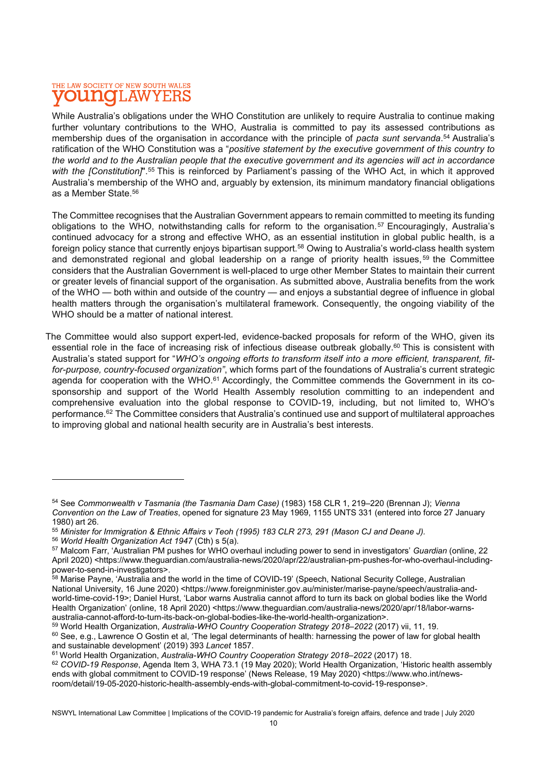While Australia's obligations under the WHO Constitution are unlikely to require Australia to continue making further voluntary contributions to the WHO, Australia is committed to pay its assessed contributions as membership dues of the organisation in accordance with the principle of pacta sunt servanda.<sup>54</sup> Australia's ratification of the WHO Constitution was a "positive statement by the executive government of this country to the world and to the Australian people that the executive government and its agencies will act in accordance with the [Constitution]".<sup>55</sup> This is reinforced by Parliament's passing of the WHO Act, in which it approved Australia's membership of the WHO and, arguably by extension, its minimum mandatory financial obligations as a Member State.<sup>56</sup>

The Committee recognises that the Australian Government appears to remain committed to meeting its funding obligations to the WHO, notwithstanding calls for reform to the organisation.<sup>57</sup> Encouragingly, Australia's continued advocacy for a strong and effective WHO, as an essential institution in global public health, is a foreign policy stance that currently enjoys bipartisan support.<sup>58</sup> Owing to Australia's world-class health system and demonstrated regional and global leadership on a range of priority health issues, <sup>59</sup> the Committee considers that the Australian Government is well-placed to urge other Member States to maintain their current or greater levels of financial support of the organisation. As submitted above, Australia benefits from the work of the WHO — both within and outside of the country — and enjoys a substantial degree of influence in global health matters through the organisation's multilateral framework. Consequently, the ongoing viability of the WHO should be a matter of national interest.

The Committee would also support expert-led, evidence-backed proposals for reform of the WHO, given its essential role in the face of increasing risk of infectious disease outbreak globally.<sup>60</sup> This is consistent with Australia's stated support for "WHO's ongoing efforts to transform itself into a more efficient, transparent, fitfor-purpose, country-focused organization", which forms part of the foundations of Australia's current strategic agenda for cooperation with the WHO.<sup>61</sup> Accordingly, the Committee commends the Government in its cosponsorship and support of the World Health Assembly resolution committing to an independent and comprehensive evaluation into the global response to COVID-19, including, but not limited to, WHO's performance.<sup>62</sup> The Committee considers that Australia's continued use and support of multilateral approaches to improving global and national health security are in Australia's best interests.

<sup>&</sup>lt;sup>54</sup> See Commonwealth y Tasmania (the Tasmania Dam Case) (1983) 158 CLR 1, 219–220 (Brennan J); Vienna Convention on the Law of Treaties, opened for signature 23 May 1969, 1155 UNTS 331 (entered into force 27 January 1980) art 26.

<sup>55</sup> Minister for Immigration & Ethnic Affairs v Teoh (1995) 183 CLR 273, 291 (Mason CJ and Deane J).

<sup>56</sup> World Health Organization Act 1947 (Cth) s 5(a).

<sup>&</sup>lt;sup>57</sup> Malcom Farr, 'Australian PM pushes for WHO overhaul including power to send in investigators' Guardian (online, 22 April 2020) <https://www.theguardian.com/australia-news/2020/apr/22/australian-pm-pushes-for-who-overhaul-includingpower-to-send-in-investigators>.

<sup>58</sup> Marise Payne, 'Australia and the world in the time of COVID-19' (Speech, National Security College, Australian National University, 16 June 2020) <https://www.foreignminister.gov.au/minister/marise-payne/speech/australia-andworld-time-covid-19>; Daniel Hurst, 'Labor warns Australia cannot afford to turn its back on global bodies like the World Health Organization' (online, 18 April 2020) <https://www.theguardian.com/australia-news/2020/apr/18/labor-warnsaustralia-cannot-afford-to-turn-its-back-on-global-bodies-like-the-world-health-organization>.

<sup>59</sup> World Health Organization, Australia-WHO Country Cooperation Strategy 2018-2022 (2017) vii, 11, 19. <sup>60</sup> See, e.g., Lawrence O Gostin et al, 'The legal determinants of health: harnessing the power of law for global health and sustainable development' (2019) 393 Lancet 1857.

<sup>&</sup>lt;sup>61</sup> World Health Organization, Australia-WHO Country Cooperation Strategy 2018–2022 (2017) 18.

<sup>62</sup> COVID-19 Response, Agenda Item 3, WHA 73.1 (19 May 2020); World Health Organization, 'Historic health assembly ends with global commitment to COVID-19 response' (News Release, 19 May 2020) <https://www.who.int/newsroom/detail/19-05-2020-historic-health-assembly-ends-with-global-commitment-to-covid-19-response>.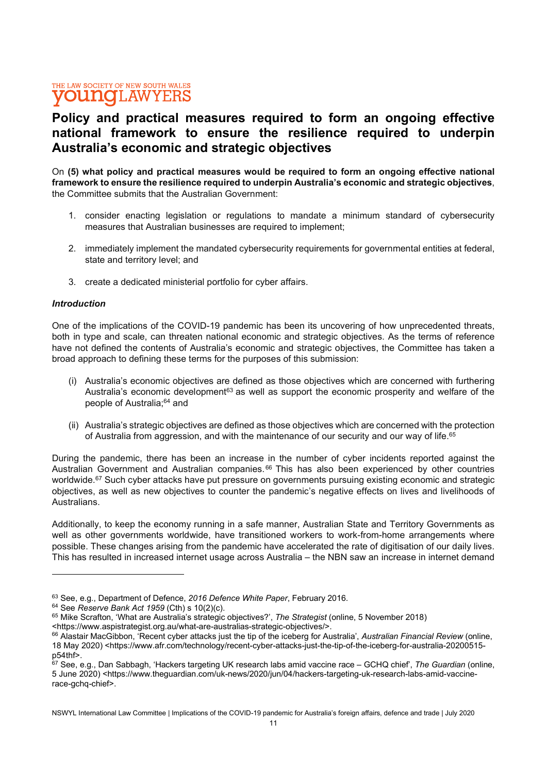# Policy and practical measures required to form an ongoing effective national framework to ensure the resilience required to underpin Australia's economic and strategic objectives

On (5) what policy and practical measures would be required to form an ongoing effective national framework to ensure the resilience required to underpin Australia's economic and strategic objectives, the Committee submits that the Australian Government:

- 1. consider enacting legislation or regulations to mandate a minimum standard of cybersecurity measures that Australian businesses are required to implement;
- 2. immediately implement the mandated cybersecurity requirements for governmental entities at federal, state and territory level; and
- 3. create a dedicated ministerial portfolio for cyber affairs.

### **Introduction**

One of the implications of the COVID-19 pandemic has been its uncovering of how unprecedented threats, both in type and scale, can threaten national economic and strategic objectives. As the terms of reference have not defined the contents of Australia's economic and strategic objectives, the Committee has taken a broad approach to defining these terms for the purposes of this submission:

- (i) Australia's economic objectives are defined as those objectives which are concerned with furthering Australia's economic development<sup>63</sup> as well as support the economic prosperity and welfare of the people of Australia;<sup>64</sup> and
- (ii) Australia's strategic objectives are defined as those objectives which are concerned with the protection of Australia from aggression, and with the maintenance of our security and our way of life.<sup>65</sup>

During the pandemic, there has been an increase in the number of cyber incidents reported against the Australian Government and Australian companies. <sup>66</sup> This has also been experienced by other countries worldwide.<sup>67</sup> Such cyber attacks have put pressure on governments pursuing existing economic and strategic objectives, as well as new objectives to counter the pandemic's negative effects on lives and livelihoods of Australians.

Additionally, to keep the economy running in a safe manner, Australian State and Territory Governments as well as other governments worldwide, have transitioned workers to work-from-home arrangements where possible. These changes arising from the pandemic have accelerated the rate of digitisation of our daily lives. This has resulted in increased internet usage across Australia – the NBN saw an increase in internet demand

<sup>&</sup>lt;sup>63</sup> See, e.g., Department of Defence, 2016 Defence White Paper, February 2016.

 $64$  See Reserve Bank Act 1959 (Cth) s 10(2)(c).

<sup>&</sup>lt;sup>65</sup> Mike Scrafton, 'What are Australia's strategic objectives?', The Strategist (online, 5 November 2018)

<sup>&</sup>lt;https://www.aspistrategist.org.au/what-are-australias-strategic-objectives/>.

<sup>&</sup>lt;sup>66</sup> Alastair MacGibbon, 'Recent cyber attacks just the tip of the iceberg for Australia', Australian Financial Review (online, 18 May 2020) <https://www.afr.com/technology/recent-cyber-attacks-just-the-tip-of-the-iceberg-for-australia-20200515 p54thf>.

<sup>67</sup> See, e.g., Dan Sabbagh, 'Hackers targeting UK research labs amid vaccine race – GCHQ chief', The Guardian (online, 5 June 2020) <https://www.theguardian.com/uk-news/2020/jun/04/hackers-targeting-uk-research-labs-amid-vaccinerace-gchq-chief>.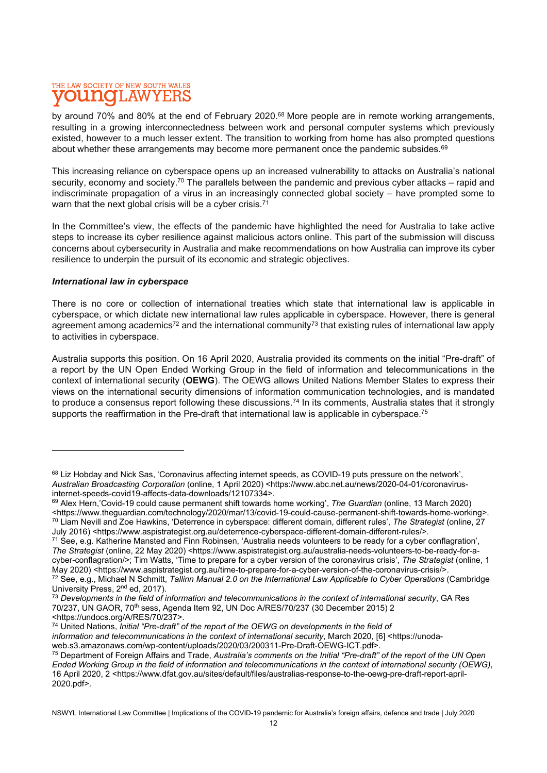by around 70% and 80% at the end of February 2020.<sup>68</sup> More people are in remote working arrangements, resulting in a growing interconnectedness between work and personal computer systems which previously existed, however to a much lesser extent. The transition to working from home has also prompted questions about whether these arrangements may become more permanent once the pandemic subsides. $69$ 

This increasing reliance on cyberspace opens up an increased vulnerability to attacks on Australia's national security, economy and society.<sup>70</sup> The parallels between the pandemic and previous cyber attacks – rapid and indiscriminate propagation of a virus in an increasingly connected global society – have prompted some to warn that the next global crisis will be a cyber crisis.<sup>71</sup>

In the Committee's view, the effects of the pandemic have highlighted the need for Australia to take active steps to increase its cyber resilience against malicious actors online. This part of the submission will discuss concerns about cybersecurity in Australia and make recommendations on how Australia can improve its cyber resilience to underpin the pursuit of its economic and strategic objectives.

### International law in cyberspace

There is no core or collection of international treaties which state that international law is applicable in cyberspace, or which dictate new international law rules applicable in cyberspace. However, there is general agreement among academics<sup>72</sup> and the international community<sup>73</sup> that existing rules of international law apply to activities in cyberspace.

Australia supports this position. On 16 April 2020, Australia provided its comments on the initial "Pre-draft" of a report by the UN Open Ended Working Group in the field of information and telecommunications in the context of international security (OEWG). The OEWG allows United Nations Member States to express their views on the international security dimensions of information communication technologies, and is mandated to produce a consensus report following these discussions.<sup>74</sup> In its comments, Australia states that it strongly supports the reaffirmation in the Pre-draft that international law is applicable in cyberspace.<sup>75</sup>

information and telecommunications in the context of international security, March 2020, [6] <https://unoda-

<sup>68</sup> Liz Hobday and Nick Sas, 'Coronavirus affecting internet speeds, as COVID-19 puts pressure on the network'. Australian Broadcasting Corporation (online, 1 April 2020) <https://www.abc.net.au/news/2020-04-01/coronavirusinternet-speeds-covid19-affects-data-downloads/12107334>.

<sup>&</sup>lt;sup>69</sup> Alex Hern,'Covid-19 could cause permanent shift towards home working', The Guardian (online, 13 March 2020) <https://www.theguardian.com/technology/2020/mar/13/covid-19-could-cause-permanent-shift-towards-home-working>.  $70$  Liam Nevill and Zoe Hawkins, 'Deterrence in cyberspace: different domain, different rules', The Strategist (online, 27 July 2016) <https://www.aspistrategist.org.au/deterrence-cyberspace-different-domain-different-rules/>.

<sup>71</sup> See, e.g. Katherine Mansted and Finn Robinsen, 'Australia needs volunteers to be ready for a cyber conflagration', The Strategist (online, 22 May 2020) <https://www.aspistrategist.org.au/australia-needs-volunteers-to-be-ready-for-acyber-conflagration/>; Tim Watts, 'Time to prepare for a cyber version of the coronavirus crisis', The Strategist (online, 1 May 2020) <https://www.aspistrategist.org.au/time-to-prepare-for-a-cyber-version-of-the-coronavirus-crisis/>.  $72$  See, e.g., Michael N Schmitt, Tallinn Manual 2.0 on the International Law Applicable to Cyber Operations (Cambridge University Press, 2<sup>nd</sup> ed, 2017).

 $73$  Developments in the field of information and telecommunications in the context of international security, GA Res 70/237, UN GAOR, 70th sess, Agenda Item 92, UN Doc A/RES/70/237 (30 December 2015) 2 <https://undocs.org/A/RES/70/237>.

 $74$  United Nations, *Initial "Pre-draft"* of the report of the OEWG on developments in the field of

web.s3.amazonaws.com/wp-content/uploads/2020/03/200311-Pre-Draft-OEWG-ICT.pdf>.

<sup>&</sup>lt;sup>75</sup> Department of Foreign Affairs and Trade, Australia's comments on the Initial "Pre-draft" of the report of the UN Open Ended Working Group in the field of information and telecommunications in the context of international security (OEWG), 16 April 2020, 2 <https://www.dfat.gov.au/sites/default/files/australias-response-to-the-oewg-pre-draft-report-april-2020.pdf>.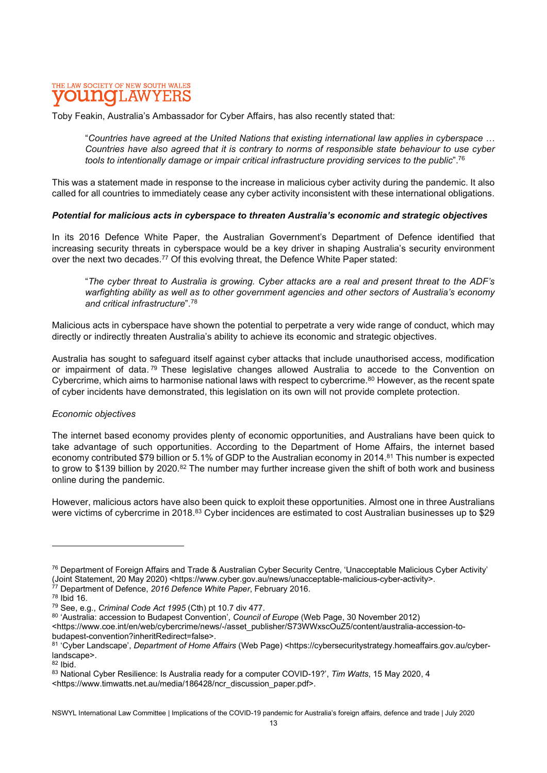Toby Feakin, Australia's Ambassador for Cyber Affairs, has also recently stated that:

"Countries have agreed at the United Nations that existing international law applies in cyberspace … Countries have also agreed that it is contrary to norms of responsible state behaviour to use cyber tools to intentionally damage or impair critical infrastructure providing services to the public".<sup>76</sup>

This was a statement made in response to the increase in malicious cyber activity during the pandemic. It also called for all countries to immediately cease any cyber activity inconsistent with these international obligations.

#### Potential for malicious acts in cyberspace to threaten Australia's economic and strategic objectives

In its 2016 Defence White Paper, the Australian Government's Department of Defence identified that increasing security threats in cyberspace would be a key driver in shaping Australia's security environment over the next two decades.<sup>77</sup> Of this evolving threat, the Defence White Paper stated:

"The cyber threat to Australia is growing. Cyber attacks are a real and present threat to the ADF's warfighting ability as well as to other government agencies and other sectors of Australia's economy and critical infrastructure".<sup>78</sup>

Malicious acts in cyberspace have shown the potential to perpetrate a very wide range of conduct, which may directly or indirectly threaten Australia's ability to achieve its economic and strategic objectives.

Australia has sought to safeguard itself against cyber attacks that include unauthorised access, modification or impairment of data.<sup>79</sup> These legislative changes allowed Australia to accede to the Convention on Cybercrime, which aims to harmonise national laws with respect to cybercrime.<sup>80</sup> However, as the recent spate of cyber incidents have demonstrated, this legislation on its own will not provide complete protection.

### Economic objectives

The internet based economy provides plenty of economic opportunities, and Australians have been quick to take advantage of such opportunities. According to the Department of Home Affairs, the internet based economy contributed \$79 billion or 5.1% of GDP to the Australian economy in 2014.<sup>81</sup> This number is expected to grow to \$139 billion by 2020.<sup>82</sup> The number may further increase given the shift of both work and business online during the pandemic.

However, malicious actors have also been quick to exploit these opportunities. Almost one in three Australians were victims of cybercrime in 2018.<sup>83</sup> Cyber incidences are estimated to cost Australian businesses up to \$29

<sup>76</sup> Department of Foreign Affairs and Trade & Australian Cyber Security Centre, 'Unacceptable Malicious Cyber Activity' (Joint Statement, 20 May 2020) <https://www.cyber.gov.au/news/unacceptable-malicious-cyber-activity>.

 $77$  Department of Defence, 2016 Defence White Paper, February 2016.

 $78$  Ibid 16.

<sup>79</sup> See, e.g., Criminal Code Act 1995 (Cth) pt 10.7 div 477.

<sup>80 &#</sup>x27;Australia: accession to Budapest Convention', Council of Europe (Web Page, 30 November 2012)

<sup>&</sup>lt;https://www.coe.int/en/web/cybercrime/news/-/asset\_publisher/S73WWxscOuZ5/content/australia-accession-tobudapest-convention?inheritRedirect=false>.

<sup>81 &#</sup>x27;Cyber Landscape', Department of Home Affairs (Web Page) <https://cybersecuritystrategy.homeaffairs.gov.au/cyberlandscape>.

<sup>82</sup> Ibid.

<sup>83</sup> National Cyber Resilience: Is Australia ready for a computer COVID-19?', Tim Watts, 15 May 2020, 4

<sup>&</sup>lt;https://www.timwatts.net.au/media/186428/ncr\_discussion\_paper.pdf>.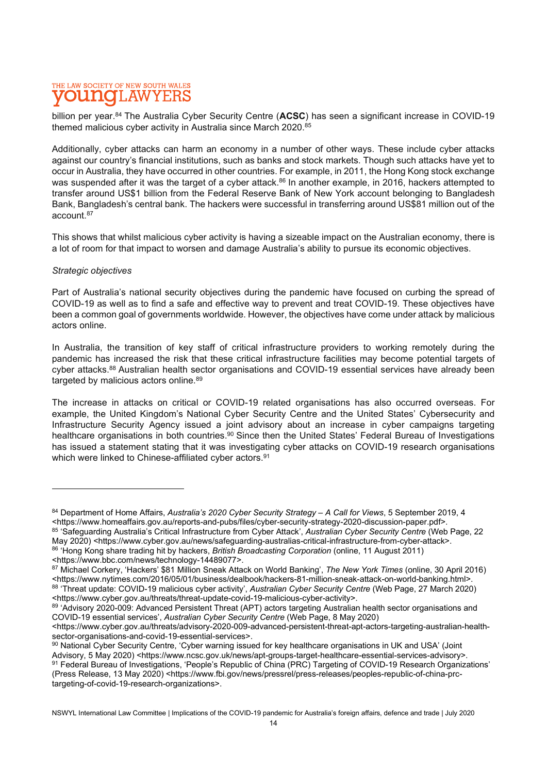billion per year.<sup>84</sup> The Australia Cyber Security Centre (ACSC) has seen a significant increase in COVID-19 themed malicious cyber activity in Australia since March 2020.<sup>85</sup>

Additionally, cyber attacks can harm an economy in a number of other ways. These include cyber attacks against our country's financial institutions, such as banks and stock markets. Though such attacks have yet to occur in Australia, they have occurred in other countries. For example, in 2011, the Hong Kong stock exchange was suspended after it was the target of a cyber attack.<sup>86</sup> In another example, in 2016, hackers attempted to transfer around US\$1 billion from the Federal Reserve Bank of New York account belonging to Bangladesh Bank, Bangladesh's central bank. The hackers were successful in transferring around US\$81 million out of the account.<sup>87</sup>

This shows that whilst malicious cyber activity is having a sizeable impact on the Australian economy, there is a lot of room for that impact to worsen and damage Australia's ability to pursue its economic objectives.

### Strategic objectives

Part of Australia's national security objectives during the pandemic have focused on curbing the spread of COVID-19 as well as to find a safe and effective way to prevent and treat COVID-19. These objectives have been a common goal of governments worldwide. However, the objectives have come under attack by malicious actors online.

In Australia, the transition of key staff of critical infrastructure providers to working remotely during the pandemic has increased the risk that these critical infrastructure facilities may become potential targets of cyber attacks.<sup>88</sup> Australian health sector organisations and COVID-19 essential services have already been targeted by malicious actors online.<sup>89</sup>

The increase in attacks on critical or COVID-19 related organisations has also occurred overseas. For example, the United Kingdom's National Cyber Security Centre and the United States' Cybersecurity and Infrastructure Security Agency issued a joint advisory about an increase in cyber campaigns targeting healthcare organisations in both countries.<sup>90</sup> Since then the United States' Federal Bureau of Investigations has issued a statement stating that it was investigating cyber attacks on COVID-19 research organisations which were linked to Chinese-affiliated cyber actors.<sup>91</sup>

90 National Cyber Security Centre, 'Cyber warning issued for key healthcare organisations in UK and USA' (Joint Advisory, 5 May 2020) <https://www.ncsc.gov.uk/news/apt-groups-target-healthcare-essential-services-advisory>.

<sup>84</sup> Department of Home Affairs, Australia's 2020 Cyber Security Strategy – A Call for Views, 5 September 2019, 4 <https://www.homeaffairs.gov.au/reports-and-pubs/files/cyber-security-strategy-2020-discussion-paper.pdf>.

<sup>85 &#</sup>x27;Safeguarding Australia's Critical Infrastructure from Cyber Attack', Australian Cyber Security Centre (Web Page, 22 May 2020) <https://www.cyber.gov.au/news/safeguarding-australias-critical-infrastructure-from-cyber-attack>.

<sup>86 &#</sup>x27;Hong Kong share trading hit by hackers, British Broadcasting Corporation (online, 11 August 2011) <https://www.bbc.com/news/technology-14489077>.

<sup>87</sup> Michael Corkery, 'Hackers' \$81 Million Sneak Attack on World Banking', The New York Times (online, 30 April 2016) <https://www.nytimes.com/2016/05/01/business/dealbook/hackers-81-million-sneak-attack-on-world-banking.html>. 88 'Threat update: COVID-19 malicious cyber activity', Australian Cyber Security Centre (Web Page, 27 March 2020) <https://www.cyber.gov.au/threats/threat-update-covid-19-malicious-cyber-activity>.

<sup>89 &#</sup>x27;Advisory 2020-009: Advanced Persistent Threat (APT) actors targeting Australian health sector organisations and COVID-19 essential services', Australian Cyber Security Centre (Web Page, 8 May 2020)

<sup>&</sup>lt;https://www.cyber.gov.au/threats/advisory-2020-009-advanced-persistent-threat-apt-actors-targeting-australian-healthsector-organisations-and-covid-19-essential-services>.

<sup>91</sup> Federal Bureau of Investigations, 'People's Republic of China (PRC) Targeting of COVID-19 Research Organizations' (Press Release, 13 May 2020) <https://www.fbi.gov/news/pressrel/press-releases/peoples-republic-of-china-prctargeting-of-covid-19-research-organizations>.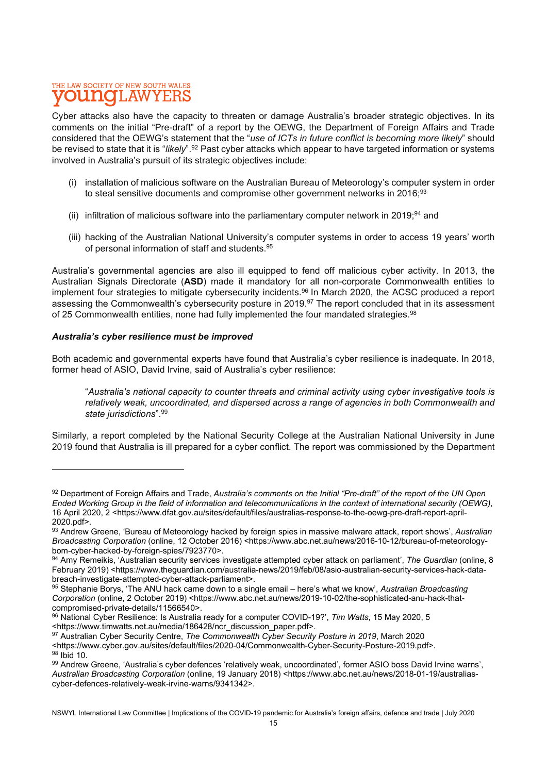Cyber attacks also have the capacity to threaten or damage Australia's broader strategic objectives. In its comments on the initial "Pre-draft" of a report by the OEWG, the Department of Foreign Affairs and Trade considered that the OEWG's statement that the "use of ICTs in future conflict is becoming more likely" should be revised to state that it is "likely".<sup>92</sup> Past cyber attacks which appear to have targeted information or systems involved in Australia's pursuit of its strategic objectives include:

- (i) installation of malicious software on the Australian Bureau of Meteorology's computer system in order to steal sensitive documents and compromise other government networks in 2016;<sup>93</sup>
- (ii) infiltration of malicious software into the parliamentary computer network in 2019;<sup>94</sup> and
- (iii) hacking of the Australian National University's computer systems in order to access 19 years' worth of personal information of staff and students.<sup>95</sup>

Australia's governmental agencies are also ill equipped to fend off malicious cyber activity. In 2013, the Australian Signals Directorate (ASD) made it mandatory for all non-corporate Commonwealth entities to implement four strategies to mitigate cybersecurity incidents.<sup>96</sup> In March 2020, the ACSC produced a report assessing the Commonwealth's cybersecurity posture in 2019.<sup>97</sup> The report concluded that in its assessment of 25 Commonwealth entities, none had fully implemented the four mandated strategies.<sup>98</sup>

### Australia's cyber resilience must be improved

Both academic and governmental experts have found that Australia's cyber resilience is inadequate. In 2018, former head of ASIO, David Irvine, said of Australia's cyber resilience:

"Australia's national capacity to counter threats and criminal activity using cyber investigative tools is relatively weak, uncoordinated, and dispersed across a range of agencies in both Commonwealth and state jurisdictions".<sup>99</sup>

Similarly, a report completed by the National Security College at the Australian National University in June 2019 found that Australia is ill prepared for a cyber conflict. The report was commissioned by the Department

<sup>92</sup> Department of Foreign Affairs and Trade, Australia's comments on the Initial "Pre-draft" of the report of the UN Open Ended Working Group in the field of information and telecommunications in the context of international security (OEWG), 16 April 2020, 2 <https://www.dfat.gov.au/sites/default/files/australias-response-to-the-oewg-pre-draft-report-april-2020.pdf>.

<sup>93</sup> Andrew Greene, 'Bureau of Meteorology hacked by foreign spies in massive malware attack, report shows', Australian Broadcasting Corporation (online, 12 October 2016) <https://www.abc.net.au/news/2016-10-12/bureau-of-meteorologybom-cyber-hacked-by-foreign-spies/7923770>.

<sup>94</sup> Amy Remeikis, 'Australian security services investigate attempted cyber attack on parliament', The Guardian (online, 8 February 2019) <https://www.theguardian.com/australia-news/2019/feb/08/asio-australian-security-services-hack-databreach-investigate-attempted-cyber-attack-parliament>.

<sup>95</sup> Stephanie Borys, 'The ANU hack came down to a single email – here's what we know', Australian Broadcasting Corporation (online, 2 October 2019) <https://www.abc.net.au/news/2019-10-02/the-sophisticated-anu-hack-thatcompromised-private-details/11566540>.

<sup>96</sup> National Cyber Resilience: Is Australia ready for a computer COVID-19?', Tim Watts, 15 May 2020, 5 <https://www.timwatts.net.au/media/186428/ncr\_discussion\_paper.pdf>.

<sup>97</sup> Australian Cyber Security Centre, The Commonwealth Cyber Security Posture in 2019, March 2020

<sup>&</sup>lt;https://www.cyber.gov.au/sites/default/files/2020-04/Commonwealth-Cyber-Security-Posture-2019.pdf>.

<sup>98</sup> Ibid 10.

<sup>99</sup> Andrew Greene, 'Australia's cyber defences 'relatively weak, uncoordinated', former ASIO boss David Irvine warns', Australian Broadcasting Corporation (online, 19 January 2018) <https://www.abc.net.au/news/2018-01-19/australiascyber-defences-relatively-weak-irvine-warns/9341342>.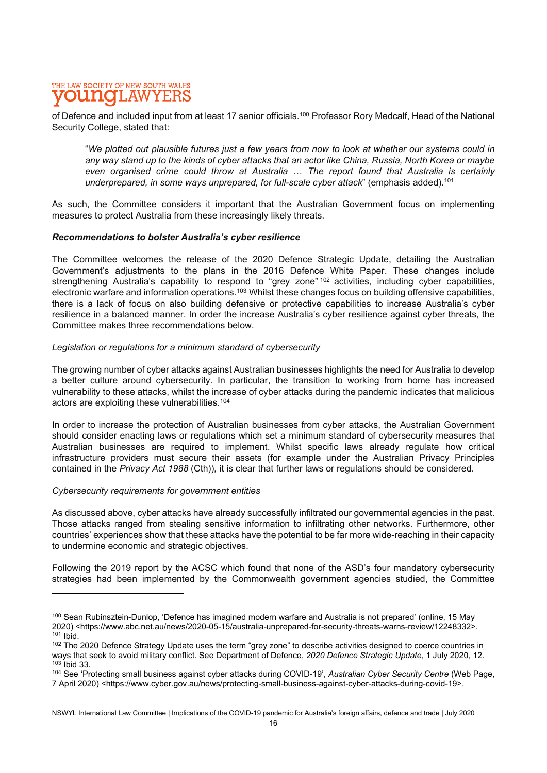of Defence and included input from at least 17 senior officials.<sup>100</sup> Professor Rory Medcalf, Head of the National Security College, stated that:

"We plotted out plausible futures just a few years from now to look at whether our systems could in any way stand up to the kinds of cyber attacks that an actor like China, Russia, North Korea or maybe even organised crime could throw at Australia ... The report found that Australia is certainly underprepared, in some ways unprepared, for full-scale cyber attack" (emphasis added).<sup>101</sup>

As such, the Committee considers it important that the Australian Government focus on implementing measures to protect Australia from these increasingly likely threats.

### Recommendations to bolster Australia's cyber resilience

The Committee welcomes the release of the 2020 Defence Strategic Update, detailing the Australian Government's adjustments to the plans in the 2016 Defence White Paper. These changes include strengthening Australia's capability to respond to "grey zone" <sup>102</sup> activities, including cyber capabilities, electronic warfare and information operations.<sup>103</sup> Whilst these changes focus on building offensive capabilities, there is a lack of focus on also building defensive or protective capabilities to increase Australia's cyber resilience in a balanced manner. In order the increase Australia's cyber resilience against cyber threats, the Committee makes three recommendations below.

### Legislation or regulations for a minimum standard of cybersecurity

The growing number of cyber attacks against Australian businesses highlights the need for Australia to develop a better culture around cybersecurity. In particular, the transition to working from home has increased vulnerability to these attacks, whilst the increase of cyber attacks during the pandemic indicates that malicious actors are exploiting these vulnerabilities.<sup>104</sup>

In order to increase the protection of Australian businesses from cyber attacks, the Australian Government should consider enacting laws or regulations which set a minimum standard of cybersecurity measures that Australian businesses are required to implement. Whilst specific laws already regulate how critical infrastructure providers must secure their assets (for example under the Australian Privacy Principles contained in the Privacy Act 1988 (Cth)), it is clear that further laws or regulations should be considered.

#### Cybersecurity requirements for government entities

As discussed above, cyber attacks have already successfully infiltrated our governmental agencies in the past. Those attacks ranged from stealing sensitive information to infiltrating other networks. Furthermore, other countries' experiences show that these attacks have the potential to be far more wide-reaching in their capacity to undermine economic and strategic objectives.

Following the 2019 report by the ACSC which found that none of the ASD's four mandatory cybersecurity strategies had been implemented by the Commonwealth government agencies studied, the Committee

<sup>100</sup> Sean Rubinsztein-Dunlop, 'Defence has imagined modern warfare and Australia is not prepared' (online, 15 May 2020) <https://www.abc.net.au/news/2020-05-15/australia-unprepared-for-security-threats-warns-review/12248332>.  $101$  Ibid.

<sup>102</sup> The 2020 Defence Strategy Update uses the term "grey zone" to describe activities designed to coerce countries in ways that seek to avoid military conflict. See Department of Defence, 2020 Defence Strategic Update, 1 July 2020, 12. <sup>103</sup> Ibid 33.

<sup>104</sup> See 'Protecting small business against cyber attacks during COVID-19', Australian Cyber Security Centre (Web Page, 7 April 2020) <https://www.cyber.gov.au/news/protecting-small-business-against-cyber-attacks-during-covid-19>.